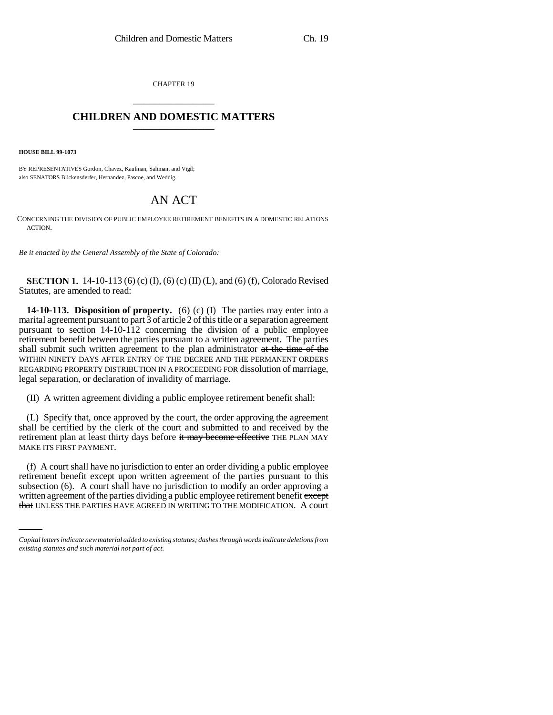CHAPTER 19 \_\_\_\_\_\_\_\_\_\_\_\_\_\_\_

## **CHILDREN AND DOMESTIC MATTERS** \_\_\_\_\_\_\_\_\_\_\_\_\_\_\_

**HOUSE BILL 99-1073** 

BY REPRESENTATIVES Gordon, Chavez, Kaufman, Saliman, and Vigil; also SENATORS Blickensderfer, Hernandez, Pascoe, and Weddig.

## AN ACT

CONCERNING THE DIVISION OF PUBLIC EMPLOYEE RETIREMENT BENEFITS IN A DOMESTIC RELATIONS ACTION.

*Be it enacted by the General Assembly of the State of Colorado:*

**SECTION 1.** 14-10-113 (6) (c) (I), (6) (c) (II) (L), and (6) (f), Colorado Revised Statutes, are amended to read:

**14-10-113. Disposition of property.** (6) (c) (I) The parties may enter into a marital agreement pursuant to part 3 of article 2 of this title or a separation agreement pursuant to section 14-10-112 concerning the division of a public employee retirement benefit between the parties pursuant to a written agreement. The parties shall submit such written agreement to the plan administrator at the time of the WITHIN NINETY DAYS AFTER ENTRY OF THE DECREE AND THE PERMANENT ORDERS REGARDING PROPERTY DISTRIBUTION IN A PROCEEDING FOR dissolution of marriage, legal separation, or declaration of invalidity of marriage.

(II) A written agreement dividing a public employee retirement benefit shall:

(L) Specify that, once approved by the court, the order approving the agreement shall be certified by the clerk of the court and submitted to and received by the retirement plan at least thirty days before it may become effective THE PLAN MAY MAKE ITS FIRST PAYMENT.

subsection (6). A court shall have no jurisdiction to modify an order approving a (f) A court shall have no jurisdiction to enter an order dividing a public employee retirement benefit except upon written agreement of the parties pursuant to this written agreement of the parties dividing a public employee retirement benefit except that UNLESS THE PARTIES HAVE AGREED IN WRITING TO THE MODIFICATION. A court

*Capital letters indicate new material added to existing statutes; dashes through words indicate deletions from existing statutes and such material not part of act.*